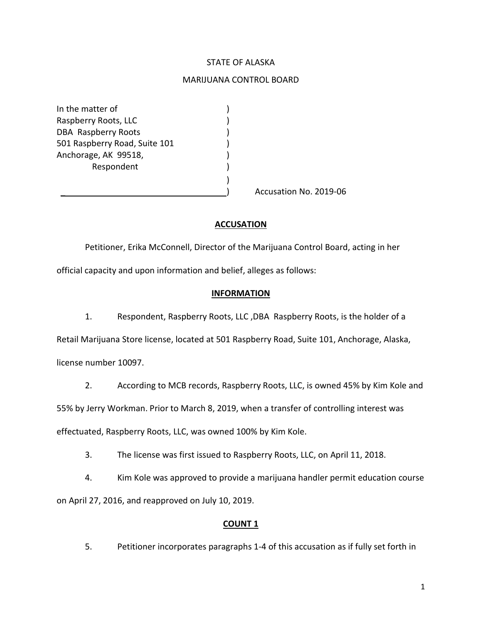# STATE OF ALASKA

## MARIJUANA CONTROL BOARD

In the matter of (1) Raspberry Roots, LLC (1999) DBA Raspberry Roots (1998) 501 Raspberry Road, Suite 101 ) Anchorage, AK 99518, ) Respondent

Accusation No. 2019-06

## **ACCUSATION**

)

Petitioner, Erika McConnell, Director of the Marijuana Control Board, acting in her

official capacity and upon information and belief, alleges as follows:

#### **INFORMATION**

1. Respondent, Raspberry Roots, LLC ,DBA Raspberry Roots, is the holder of a

Retail Marijuana Store license, located at 501 Raspberry Road, Suite 101, Anchorage, Alaska,

license number 10097.

2. According to MCB records, Raspberry Roots, LLC, is owned 45% by Kim Kole and

55% by Jerry Workman. Prior to March 8, 2019, when a transfer of controlling interest was

effectuated, Raspberry Roots, LLC, was owned 100% by Kim Kole.

3. The license was first issued to Raspberry Roots, LLC, on April 11, 2018.

4. Kim Kole was approved to provide a marijuana handler permit education course on April 27, 2016, and reapproved on July 10, 2019.

## **COUNT 1**

5. Petitioner incorporates paragraphs 1-4 of this accusation as if fully set forth in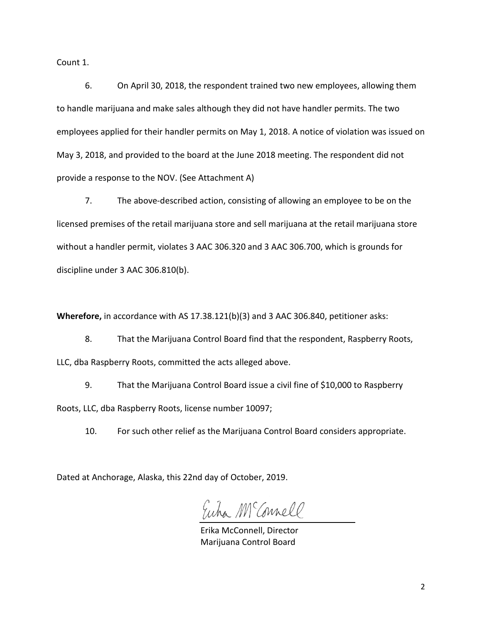Count 1.

6. On April 30, 2018, the respondent trained two new employees, allowing them to handle marijuana and make sales although they did not have handler permits. The two employees applied for their handler permits on May 1, 2018. A notice of violation was issued on May 3, 2018, and provided to the board at the June 2018 meeting. The respondent did not provide a response to the NOV. (See Attachment A)

7. The above-described action, consisting of allowing an employee to be on the licensed premises of the retail marijuana store and sell marijuana at the retail marijuana store without a handler permit, violates 3 AAC 306.320 and 3 AAC 306.700, which is grounds for discipline under 3 AAC 306.810(b).

**Wherefore,** in accordance with AS 17.38.121(b)(3) and 3 AAC 306.840, petitioner asks:

8. That the Marijuana Control Board find that the respondent, Raspberry Roots, LLC, dba Raspberry Roots, committed the acts alleged above.

9. That the Marijuana Control Board issue a civil fine of \$10,000 to Raspberry Roots, LLC, dba Raspberry Roots, license number 10097;

10. For such other relief as the Marijuana Control Board considers appropriate.

Dated at Anchorage, Alaska, this 22nd day of October, 2019.

Euha M Connell

Erika McConnell, Director Marijuana Control Board